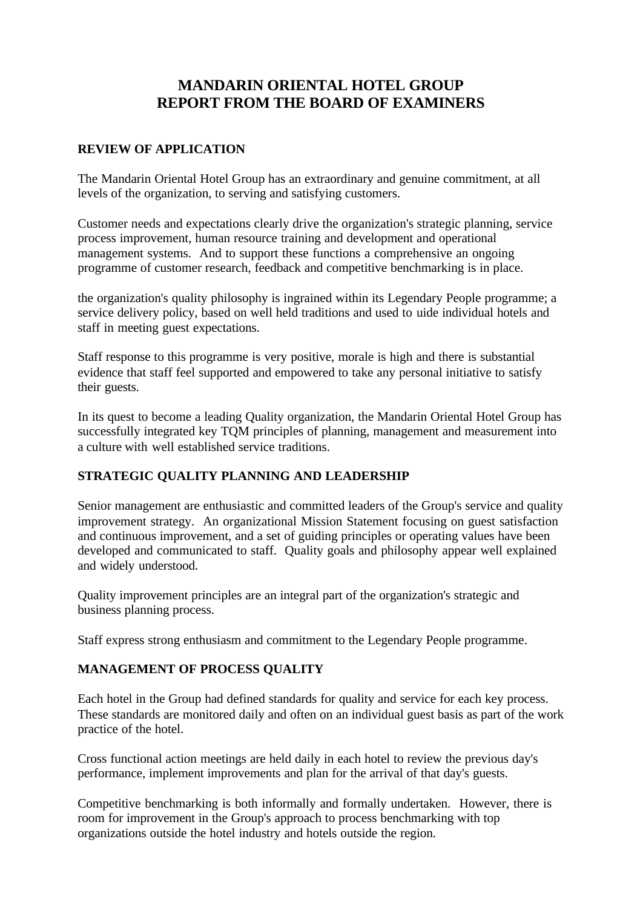# **MANDARIN ORIENTAL HOTEL GROUP REPORT FROM THE BOARD OF EXAMINERS**

#### **REVIEW OF APPLICATION**

The Mandarin Oriental Hotel Group has an extraordinary and genuine commitment, at all levels of the organization, to serving and satisfying customers.

Customer needs and expectations clearly drive the organization's strategic planning, service process improvement, human resource training and development and operational management systems. And to support these functions a comprehensive an ongoing programme of customer research, feedback and competitive benchmarking is in place.

the organization's quality philosophy is ingrained within its Legendary People programme; a service delivery policy, based on well held traditions and used to uide individual hotels and staff in meeting guest expectations.

Staff response to this programme is very positive, morale is high and there is substantial evidence that staff feel supported and empowered to take any personal initiative to satisfy their guests.

In its quest to become a leading Quality organization, the Mandarin Oriental Hotel Group has successfully integrated key TQM principles of planning, management and measurement into a culture with well established service traditions.

#### **STRATEGIC QUALITY PLANNING AND LEADERSHIP**

Senior management are enthusiastic and committed leaders of the Group's service and quality improvement strategy. An organizational Mission Statement focusing on guest satisfaction and continuous improvement, and a set of guiding principles or operating values have been developed and communicated to staff. Quality goals and philosophy appear well explained and widely understood.

Quality improvement principles are an integral part of the organization's strategic and business planning process.

Staff express strong enthusiasm and commitment to the Legendary People programme.

#### **MANAGEMENT OF PROCESS QUALITY**

Each hotel in the Group had defined standards for quality and service for each key process. These standards are monitored daily and often on an individual guest basis as part of the work practice of the hotel.

Cross functional action meetings are held daily in each hotel to review the previous day's performance, implement improvements and plan for the arrival of that day's guests.

Competitive benchmarking is both informally and formally undertaken. However, there is room for improvement in the Group's approach to process benchmarking with top organizations outside the hotel industry and hotels outside the region.